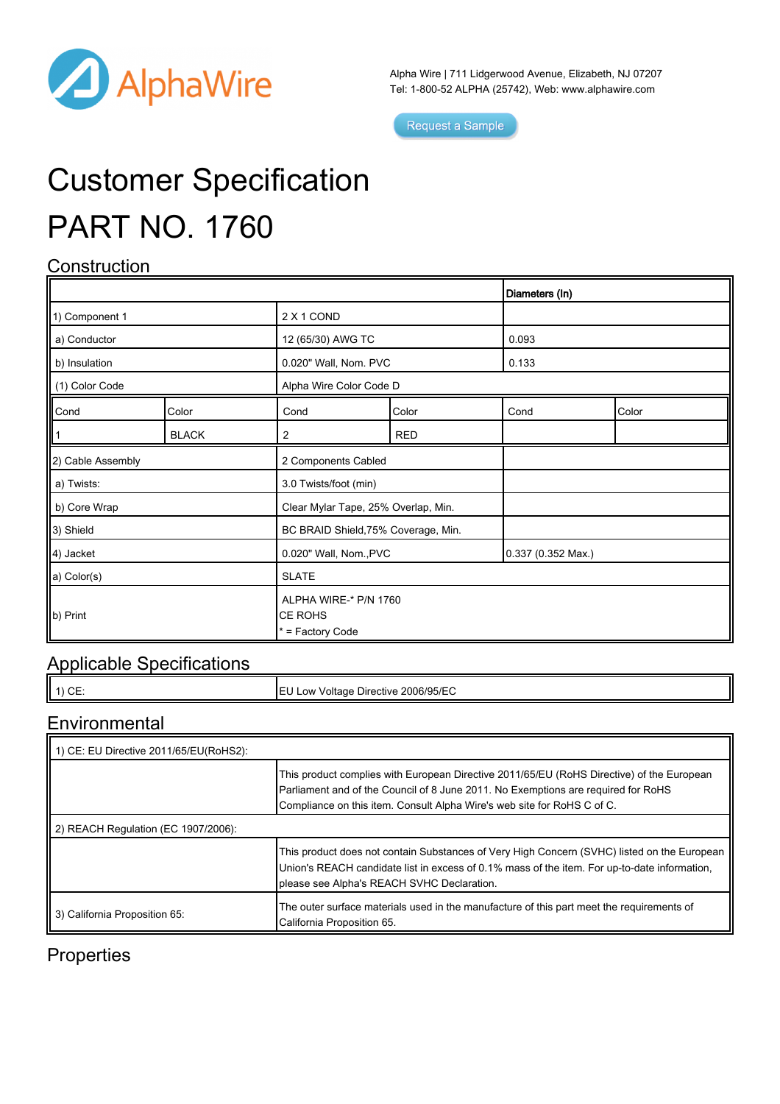

Alpha Wire | 711 Lidgerwood Avenue, Elizabeth, NJ 07207 Tel: 1-800-52 ALPHA (25742), Web: [www.alphawire.com](http://www.alphawire.com)

Request a Sample

# Customer Specification PART NO. 1760

### **Construction**

|                       |              |                                                      |            | Diameters (In)              |       |
|-----------------------|--------------|------------------------------------------------------|------------|-----------------------------|-------|
| 1) Component 1        |              | 2 X 1 COND                                           |            |                             |       |
| a) Conductor          |              | 12 (65/30) AWG TC                                    |            | 0.093                       |       |
| b) Insulation         |              | 0.020" Wall, Nom. PVC                                |            | 0.133                       |       |
| (1) Color Code        |              | Alpha Wire Color Code D                              |            |                             |       |
| Cond                  | Color        | Cond                                                 | Color      | Cond                        | Color |
|                       | <b>BLACK</b> | 2                                                    | <b>RED</b> |                             |       |
| 2) Cable Assembly     |              | 2 Components Cabled                                  |            |                             |       |
| a) Twists:            |              | 3.0 Twists/foot (min)                                |            |                             |       |
| b) Core Wrap          |              | Clear Mylar Tape, 25% Overlap, Min.                  |            |                             |       |
| 3) Shield             |              | BC BRAID Shield, 75% Coverage, Min.                  |            |                             |       |
| 4) Jacket             |              | 0.020" Wall, Nom., PVC                               |            | $0.337(0.352 \text{ Max.})$ |       |
| a) Color(s)           |              | <b>SLATE</b>                                         |            |                             |       |
| $\vert\vert$ b) Print |              | ALPHA WIRE-* P/N 1760<br>CE ROHS<br>* = Factory Code |            |                             |       |

#### Applicable Specifications

|--|

#### **Environmental**

| 1) CE: EU Directive 2011/65/EU(RoHS2): |                                                                                                                                                                                                                                                           |  |  |  |  |
|----------------------------------------|-----------------------------------------------------------------------------------------------------------------------------------------------------------------------------------------------------------------------------------------------------------|--|--|--|--|
|                                        | This product complies with European Directive 2011/65/EU (RoHS Directive) of the European<br>Parliament and of the Council of 8 June 2011. No Exemptions are required for RoHS<br>Compliance on this item. Consult Alpha Wire's web site for RoHS C of C. |  |  |  |  |
| 2) REACH Regulation (EC 1907/2006):    |                                                                                                                                                                                                                                                           |  |  |  |  |
|                                        | This product does not contain Substances of Very High Concern (SVHC) listed on the European<br>Union's REACH candidate list in excess of 0.1% mass of the item. For up-to-date information,<br>please see Alpha's REACH SVHC Declaration.                 |  |  |  |  |
| 3) California Proposition 65:          | The outer surface materials used in the manufacture of this part meet the requirements of<br>California Proposition 65.                                                                                                                                   |  |  |  |  |

#### **Properties**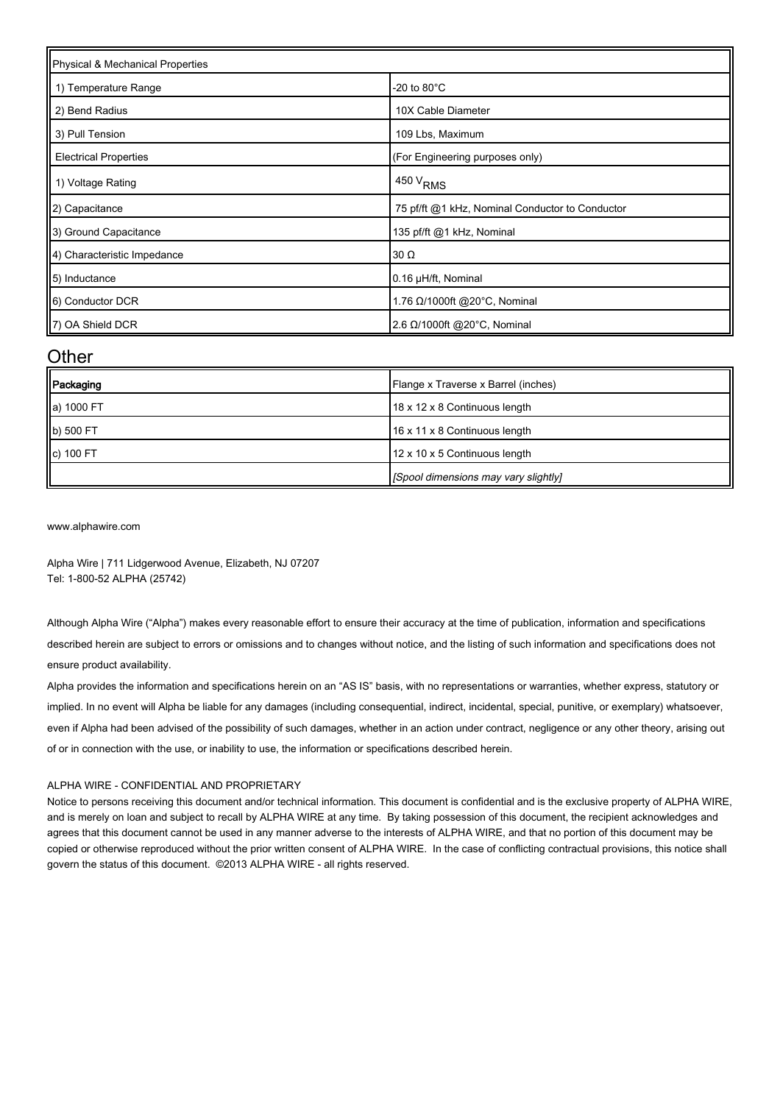| Physical & Mechanical Properties |                                                 |  |
|----------------------------------|-------------------------------------------------|--|
| 1) Temperature Range             | -20 to 80 $^{\circ}$ C                          |  |
| 2) Bend Radius                   | 10X Cable Diameter                              |  |
| 3) Pull Tension                  | 109 Lbs, Maximum                                |  |
| <b>Electrical Properties</b>     | (For Engineering purposes only)                 |  |
| 1) Voltage Rating                | 450 V <sub>RMS</sub>                            |  |
| 2) Capacitance                   | 75 pf/ft @1 kHz, Nominal Conductor to Conductor |  |
| 3) Ground Capacitance            | 135 pf/ft @1 kHz, Nominal                       |  |
| 4) Characteristic Impedance      | $30 \Omega$                                     |  |
| 5) Inductance                    | 0.16 µH/ft, Nominal                             |  |
| 6) Conductor DCR                 | 1.76 Ω/1000ft @20°C, Nominal                    |  |
| 7) OA Shield DCR                 | 2.6 Ω/1000ft @20°C, Nominal                     |  |

#### **Other**

| Packaging      | Flange x Traverse x Barrel (inches)  |
|----------------|--------------------------------------|
| a) 1000 FT     | 18 x 12 x 8 Continuous length        |
| b) 500 FT      | 16 x 11 x 8 Continuous length        |
| $\ c\ $ 100 FT | 12 x 10 x 5 Continuous length        |
|                | [Spool dimensions may vary slightly] |

[www.alphawire.com](http://www.alphawire.com)

Alpha Wire | 711 Lidgerwood Avenue, Elizabeth, NJ 07207 Tel: 1-800-52 ALPHA (25742)

Although Alpha Wire ("Alpha") makes every reasonable effort to ensure their accuracy at the time of publication, information and specifications described herein are subject to errors or omissions and to changes without notice, and the listing of such information and specifications does not ensure product availability.

Alpha provides the information and specifications herein on an "AS IS" basis, with no representations or warranties, whether express, statutory or implied. In no event will Alpha be liable for any damages (including consequential, indirect, incidental, special, punitive, or exemplary) whatsoever, even if Alpha had been advised of the possibility of such damages, whether in an action under contract, negligence or any other theory, arising out of or in connection with the use, or inability to use, the information or specifications described herein.

#### ALPHA WIRE - CONFIDENTIAL AND PROPRIETARY

Notice to persons receiving this document and/or technical information. This document is confidential and is the exclusive property of ALPHA WIRE, and is merely on loan and subject to recall by ALPHA WIRE at any time. By taking possession of this document, the recipient acknowledges and agrees that this document cannot be used in any manner adverse to the interests of ALPHA WIRE, and that no portion of this document may be copied or otherwise reproduced without the prior written consent of ALPHA WIRE. In the case of conflicting contractual provisions, this notice shall govern the status of this document. ©2013 ALPHA WIRE - all rights reserved.